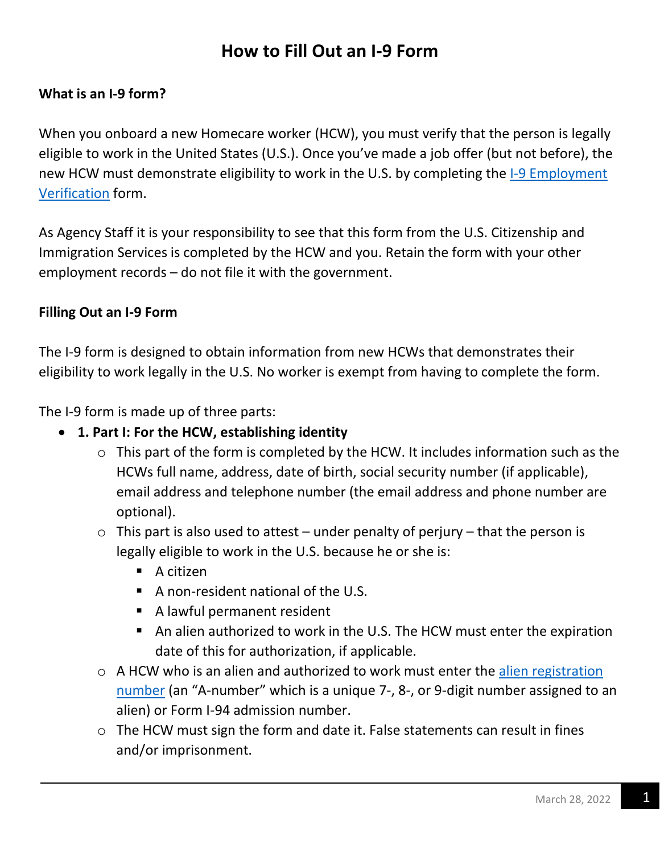# **How to Fill Out an I-9 Form**

#### **What is an I-9 form?**

When you onboard a new Homecare worker (HCW), you must verify that the person is legally eligible to work in the United States (U.S.). Once you've made a job offer (but not before), the new HCW must demonstrate eligibility to work in the U.S. by completing the 1-9 Employment [Verification](https://www.uscis.gov/i-9?msclkid=f5d8b4e9aa2511ecac062298937e0ea8) form.

As Agency Staff it is your responsibility to see that this form from the U.S. Citizenship and Immigration Services is completed by the HCW and you. Retain the form with your other employment records – do not file it with the government.

#### **Filling Out an I-9 Form**

The I-9 form is designed to obtain information from new HCWs that demonstrates their eligibility to work legally in the U.S. No worker is exempt from having to complete the form.

The I-9 form is made up of three parts:

- **1. Part I: For the HCW, establishing identity** 
	- $\circ$  This part of the form is completed by the HCW. It includes information such as the HCWs full name, address, date of birth, social security number (if applicable), email address and telephone number (the email address and phone number are optional).
	- $\circ$  This part is also used to attest under penalty of perjury that the person is legally eligible to work in the U.S. because he or she is:
		- A citizen
		- $\blacksquare$  A non-resident national of the U.S.
		- A lawful permanent resident
		- An alien authorized to work in the U.S. The HCW must enter the expiration date of this for authorization, if applicable.
	- o A HCW who is an alien and authorized to work must enter the [alien registration](https://www.uscis.gov/i-9-central/form-i-9-resources/handbook-for-employers-m-274/120-acceptable-documents-for-verifying-employment-authorization-and-identity/121-list-a-documents-that-establish-identity-and-employment-authorization#:~:text=Currently%2C%20the%20USCIS%20Number%20is%20also%20the%20cardholder%E2%80%99s,card%20to%20be%20acceptable%20for%20Form%20I-9%20purposes.)  [number](https://www.uscis.gov/i-9-central/form-i-9-resources/handbook-for-employers-m-274/120-acceptable-documents-for-verifying-employment-authorization-and-identity/121-list-a-documents-that-establish-identity-and-employment-authorization#:~:text=Currently%2C%20the%20USCIS%20Number%20is%20also%20the%20cardholder%E2%80%99s,card%20to%20be%20acceptable%20for%20Form%20I-9%20purposes.) (an "A-number" which is a unique 7-, 8-, or 9-digit number assigned to an alien) or Form I-94 admission number.
	- o The HCW must sign the form and date it. False statements can result in fines and/or imprisonment.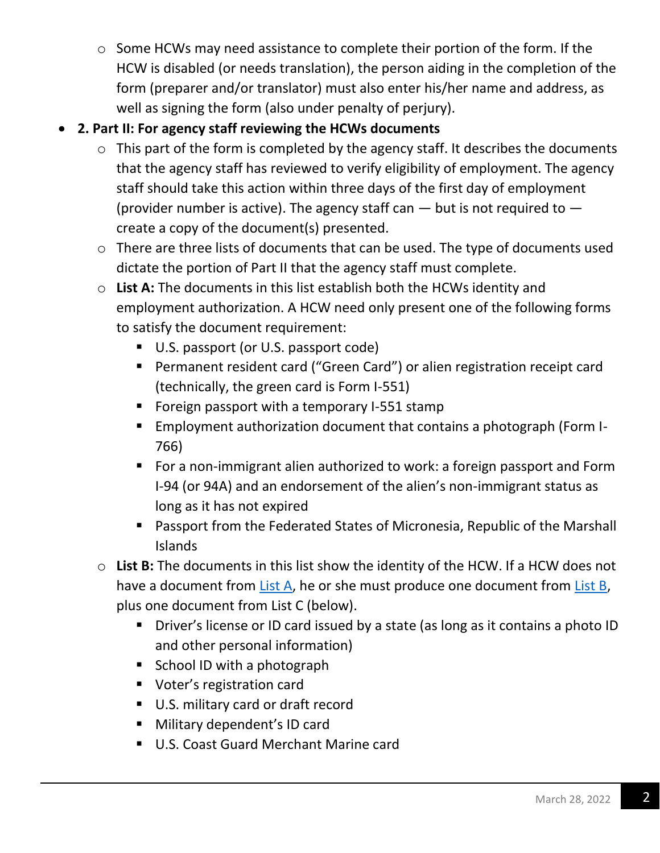o Some HCWs may need assistance to complete their portion of the form. If the HCW is disabled (or needs translation), the person aiding in the completion of the form (preparer and/or translator) must also enter his/her name and address, as well as signing the form (also under penalty of perjury).

## • **2. Part II: For agency staff reviewing the HCWs documents**

- $\circ$  This part of the form is completed by the agency staff. It describes the documents that the agency staff has reviewed to verify eligibility of employment. The agency staff should take this action within three days of the first day of employment (provider number is active). The agency staff can  $-$  but is not required to  $$ create a copy of the document(s) presented.
- o There are three lists of documents that can be used. The type of documents used dictate the portion of Part II that the agency staff must complete.
- o **List A:** The documents in this list establish both the HCWs identity and employment authorization. A HCW need only present one of the following forms to satisfy the document requirement:
	- U.S. passport (or U.S. passport code)
	- Permanent resident card ("Green Card") or alien registration receipt card (technically, the green card is Form I-551)
	- Foreign passport with a temporary I-551 stamp
	- Employment authorization document that contains a photograph (Form I-766)
	- For a non-immigrant alien authorized to work: a foreign passport and Form I-94 (or 94A) and an endorsement of the alien's non-immigrant status as long as it has not expired
	- Passport from the Federated States of Micronesia, Republic of the Marshall Islands
- o **List B:** The documents in this list show the identity of the HCW. If a HCW does not have a document from [List A,](https://www.uscis.gov/i-9-central/form-i-9-acceptable-documents) he or she must produce one document from [List B,](https://www.uscis.gov/i-9-central/form-i-9-acceptable-documents) plus one document from List C (below).
	- Driver's license or ID card issued by a state (as long as it contains a photo ID and other personal information)
	- School ID with a photograph
	- Voter's registration card
	- U.S. military card or draft record
	- Military dependent's ID card
	- U.S. Coast Guard Merchant Marine card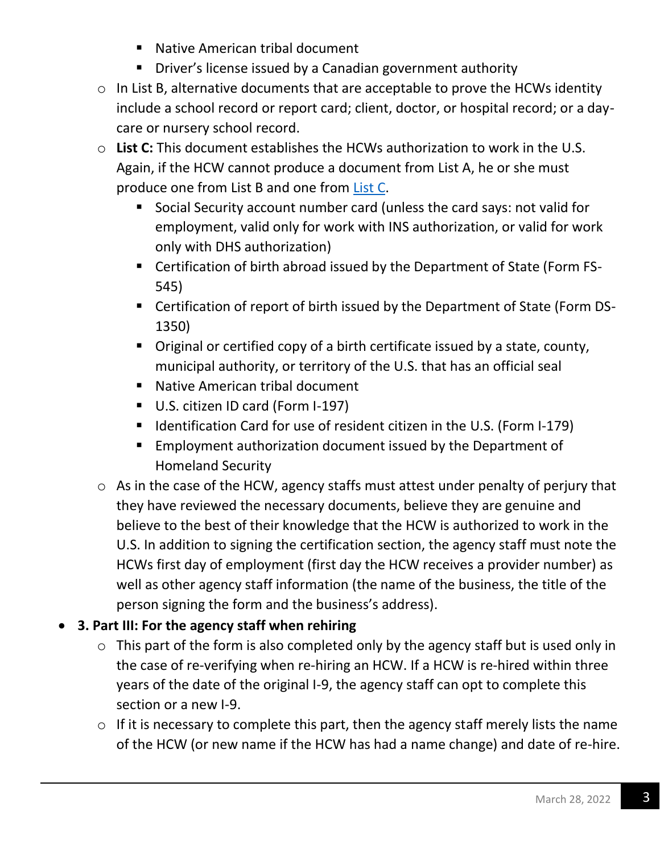- Native American tribal document
- Driver's license issued by a Canadian government authority
- o In List B, alternative documents that are acceptable to prove the HCWs identity include a school record or report card; client, doctor, or hospital record; or a daycare or nursery school record.
- o **List C:** This document establishes the HCWs authorization to work in the U.S. Again, if the HCW cannot produce a document from List A, he or she must produce one from List B and one from [List C.](https://www.uscis.gov/i-9-central/form-i-9-acceptable-documents)
	- Social Security account number card (unless the card says: not valid for employment, valid only for work with INS authorization, or valid for work only with DHS authorization)
	- Certification of birth abroad issued by the Department of State (Form FS-545)
	- Certification of report of birth issued by the Department of State (Form DS-1350)
	- Original or certified copy of a birth certificate issued by a state, county, municipal authority, or territory of the U.S. that has an official seal
	- Native American tribal document
	- U.S. citizen ID card (Form I-197)
	- Identification Card for use of resident citizen in the U.S. (Form I-179)
	- Employment authorization document issued by the Department of Homeland Security
- o As in the case of the HCW, agency staffs must attest under penalty of perjury that they have reviewed the necessary documents, believe they are genuine and believe to the best of their knowledge that the HCW is authorized to work in the U.S. In addition to signing the certification section, the agency staff must note the HCWs first day of employment (first day the HCW receives a provider number) as well as other agency staff information (the name of the business, the title of the person signing the form and the business's address).

# • **3. Part III: For the agency staff when rehiring**

- $\circ$  This part of the form is also completed only by the agency staff but is used only in the case of re-verifying when re-hiring an HCW. If a HCW is re-hired within three years of the date of the original I-9, the agency staff can opt to complete this section or a new I-9.
- o If it is necessary to complete this part, then the agency staff merely lists the name of the HCW (or new name if the HCW has had a name change) and date of re-hire.